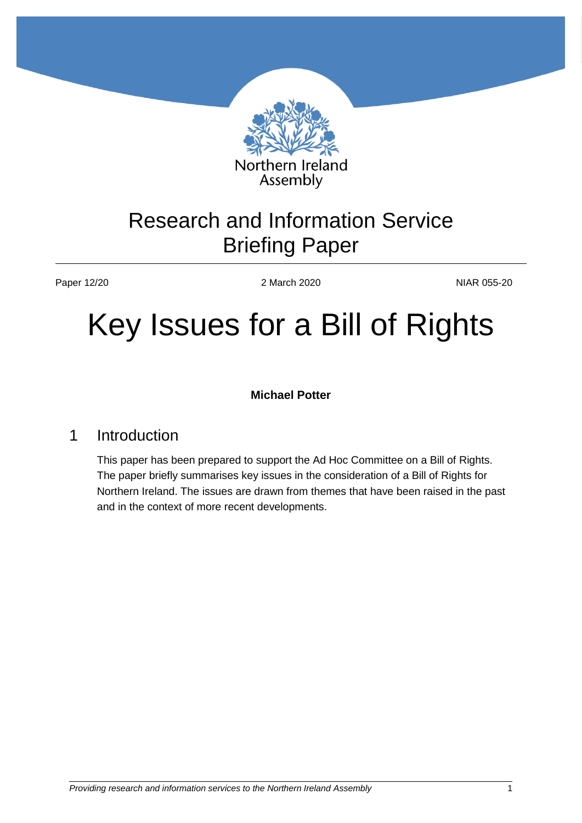

# Research and Information Service Briefing Paper

Paper 12/20 2March 2020 2March 2020 NIAR 055-20

# Key Issues for a Bill of Rights

**Michael Potter**

# 1 Introduction

This paper has been prepared to support the Ad Hoc Committee on a Bill of Rights. The paper briefly summarises key issues in the consideration of a Bill of Rights for Northern Ireland. The issues are drawn from themes that have been raised in the past and in the context of more recent developments.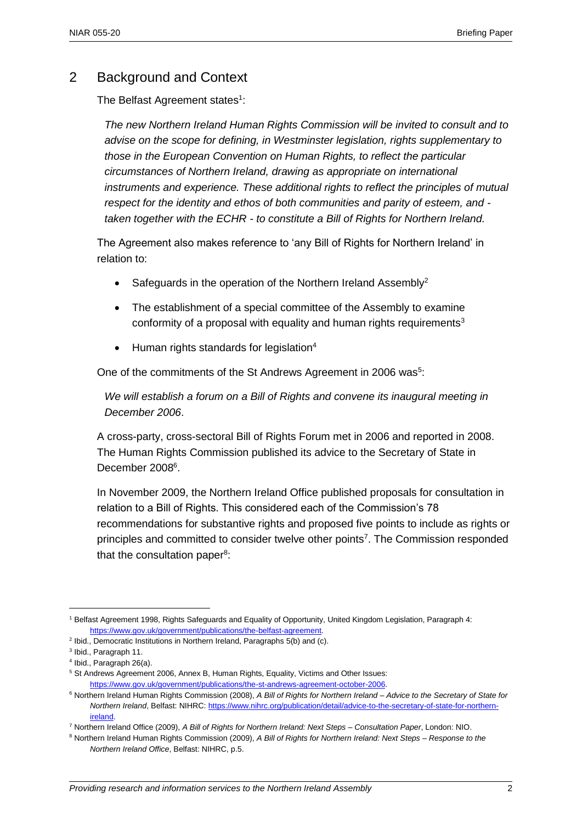### 2 Background and Context

The Belfast Agreement states<sup>1</sup>:

*The new Northern Ireland Human Rights Commission will be invited to consult and to advise on the scope for defining, in Westminster legislation, rights supplementary to those in the European Convention on Human Rights, to reflect the particular circumstances of Northern Ireland, drawing as appropriate on international instruments and experience. These additional rights to reflect the principles of mutual respect for the identity and ethos of both communities and parity of esteem, and taken together with the ECHR - to constitute a Bill of Rights for Northern Ireland.*

The Agreement also makes reference to 'any Bill of Rights for Northern Ireland' in relation to:

- Safeguards in the operation of the Northern Ireland Assembly<sup>2</sup>
- The establishment of a special committee of the Assembly to examine conformity of a proposal with equality and human rights requirements<sup>3</sup>
- $\bullet$  Human rights standards for legislation<sup>4</sup>

One of the commitments of the St Andrews Agreement in 2006 was<sup>5</sup>:

*We will establish a forum on a Bill of Rights and convene its inaugural meeting in December 2006*.

A cross-party, cross-sectoral Bill of Rights Forum met in 2006 and reported in 2008. The Human Rights Commission published its advice to the Secretary of State in December 2008<sup>6</sup>.

In November 2009, the Northern Ireland Office published proposals for consultation in relation to a Bill of Rights. This considered each of the Commission's 78 recommendations for substantive rights and proposed five points to include as rights or principles and committed to consider twelve other points<sup>7</sup>. The Commission responded that the consultation paper<sup>8</sup>:

<sup>1</sup> Belfast Agreement 1998, Rights Safeguards and Equality of Opportunity, United Kingdom Legislation, Paragraph 4: [https://www.gov.uk/government/publications/the-belfast-agreement.](https://www.gov.uk/government/publications/the-belfast-agreement)

<sup>&</sup>lt;sup>2</sup> Ibid., Democratic Institutions in Northern Ireland, Paragraphs 5(b) and (c).

<sup>&</sup>lt;sup>3</sup> Ibid., Paragraph 11.

<sup>4</sup> Ibid., Paragraph 26(a).

<sup>5</sup> St Andrews Agreement 2006, Annex B, Human Rights, Equality, Victims and Other Issues: [https://www.gov.uk/government/publications/the-st-andrews-agreement-october-2006.](https://www.gov.uk/government/publications/the-st-andrews-agreement-october-2006)

<sup>6</sup> Northern Ireland Human Rights Commission (2008), *A Bill of Rights for Northern Ireland – Advice to the Secretary of State for Northern Ireland*, Belfast: NIHRC: [https://www.nihrc.org/publication/detail/advice-to-the-secretary-of-state-for-northern](https://www.nihrc.org/publication/detail/advice-to-the-secretary-of-state-for-northern-ireland)[ireland.](https://www.nihrc.org/publication/detail/advice-to-the-secretary-of-state-for-northern-ireland)

<sup>7</sup> Northern Ireland Office (2009), *A Bill of Rights for Northern Ireland: Next Steps – Consultation Paper*, London: NIO.

<sup>8</sup> Northern Ireland Human Rights Commission (2009), *A Bill of Rights for Northern Ireland: Next Steps – Response to the Northern Ireland Office*, Belfast: NIHRC, p.5.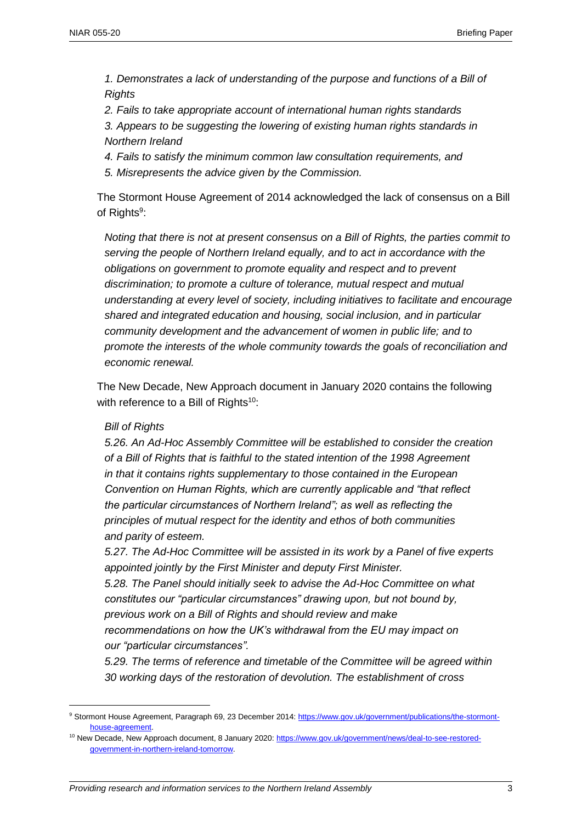*1. Demonstrates a lack of understanding of the purpose and functions of a Bill of Rights*

*2. Fails to take appropriate account of international human rights standards*

*3. Appears to be suggesting the lowering of existing human rights standards in Northern Ireland*

- *4. Fails to satisfy the minimum common law consultation requirements, and*
- *5. Misrepresents the advice given by the Commission.*

The Stormont House Agreement of 2014 acknowledged the lack of consensus on a Bill of Rights<sup>9</sup>:

*Noting that there is not at present consensus on a Bill of Rights, the parties commit to serving the people of Northern Ireland equally, and to act in accordance with the obligations on government to promote equality and respect and to prevent discrimination; to promote a culture of tolerance, mutual respect and mutual understanding at every level of society, including initiatives to facilitate and encourage shared and integrated education and housing, social inclusion, and in particular community development and the advancement of women in public life; and to promote the interests of the whole community towards the goals of reconciliation and economic renewal.*

The New Decade, New Approach document in January 2020 contains the following with reference to a Bill of Rights<sup>10</sup>:

#### *Bill of Rights*

 $\overline{a}$ 

*5.26. An Ad-Hoc Assembly Committee will be established to consider the creation of a Bill of Rights that is faithful to the stated intention of the 1998 Agreement in that it contains rights supplementary to those contained in the European Convention on Human Rights, which are currently applicable and "that reflect the particular circumstances of Northern Ireland"; as well as reflecting the principles of mutual respect for the identity and ethos of both communities and parity of esteem.*

*5.27. The Ad-Hoc Committee will be assisted in its work by a Panel of five experts appointed jointly by the First Minister and deputy First Minister. 5.28. The Panel should initially seek to advise the Ad-Hoc Committee on what constitutes our "particular circumstances" drawing upon, but not bound by, previous work on a Bill of Rights and should review and make recommendations on how the UK's withdrawal from the EU may impact on our "particular circumstances".*

*5.29. The terms of reference and timetable of the Committee will be agreed within 30 working days of the restoration of devolution. The establishment of cross*

<sup>9</sup> Stormont House Agreement, Paragraph 69, 23 December 2014: [https://www.gov.uk/government/publications/the-stormont](https://www.gov.uk/government/publications/the-stormont-house-agreement)[house-agreement.](https://www.gov.uk/government/publications/the-stormont-house-agreement)

<sup>10</sup> New Decade, New Approach document, 8 January 2020: [https://www.gov.uk/government/news/deal-to-see-restored](https://www.gov.uk/government/news/deal-to-see-restored-government-in-northern-ireland-tomorrow)[government-in-northern-ireland-tomorrow.](https://www.gov.uk/government/news/deal-to-see-restored-government-in-northern-ireland-tomorrow)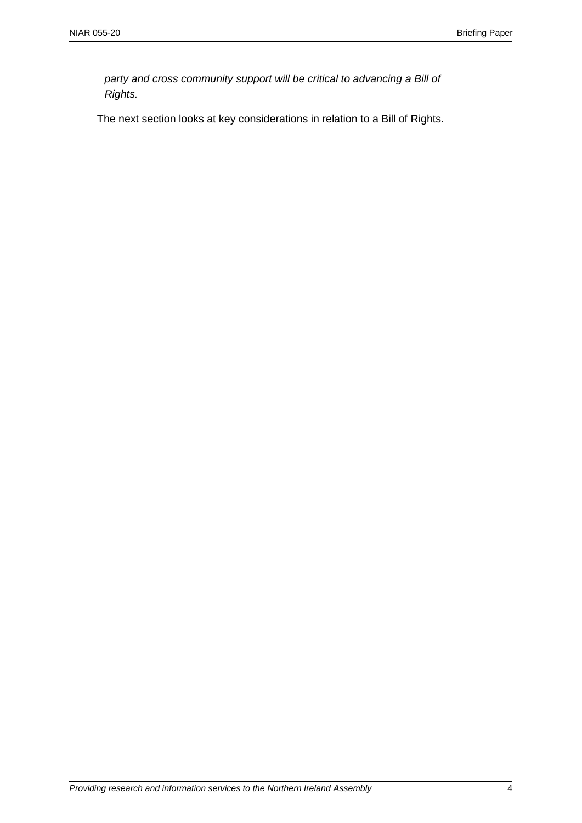*party and cross community support will be critical to advancing a Bill of Rights.*

The next section looks at key considerations in relation to a Bill of Rights.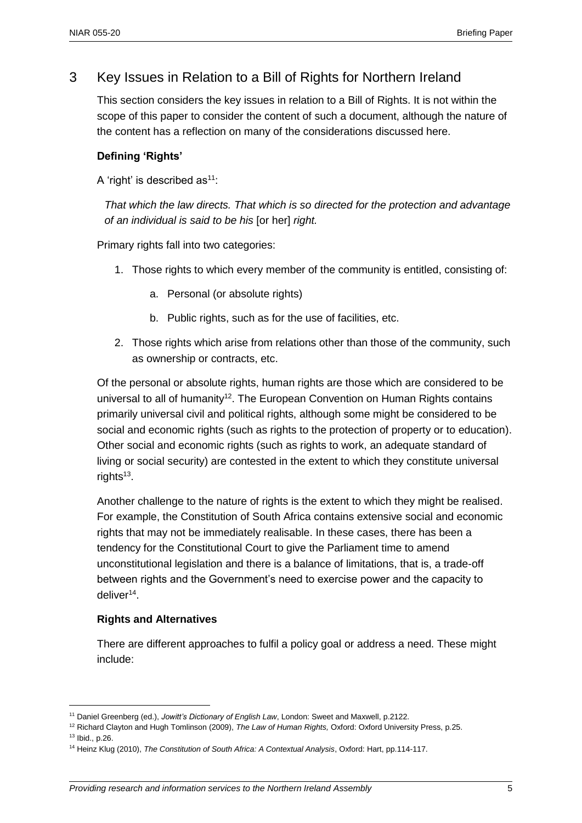## 3 Key Issues in Relation to a Bill of Rights for Northern Ireland

This section considers the key issues in relation to a Bill of Rights. It is not within the scope of this paper to consider the content of such a document, although the nature of the content has a reflection on many of the considerations discussed here.

#### **Defining 'Rights'**

A 'right' is described as $11$ :

*That which the law directs. That which is so directed for the protection and advantage of an individual is said to be his* [or her] *right.*

Primary rights fall into two categories:

- 1. Those rights to which every member of the community is entitled, consisting of:
	- a. Personal (or absolute rights)
	- b. Public rights, such as for the use of facilities, etc.
- 2. Those rights which arise from relations other than those of the community, such as ownership or contracts, etc.

Of the personal or absolute rights, human rights are those which are considered to be universal to all of humanity<sup>12</sup>. The European Convention on Human Rights contains primarily universal civil and political rights, although some might be considered to be social and economic rights (such as rights to the protection of property or to education). Other social and economic rights (such as rights to work, an adequate standard of living or social security) are contested in the extent to which they constitute universal rights<sup>13</sup>.

Another challenge to the nature of rights is the extent to which they might be realised. For example, the Constitution of South Africa contains extensive social and economic rights that may not be immediately realisable. In these cases, there has been a tendency for the Constitutional Court to give the Parliament time to amend unconstitutional legislation and there is a balance of limitations, that is, a trade-off between rights and the Government's need to exercise power and the capacity to deliver<sup>14</sup>.

#### **Rights and Alternatives**

There are different approaches to fulfil a policy goal or address a need. These might include:

<sup>11</sup> Daniel Greenberg (ed.), *Jowitt's Dictionary of English Law*, London: Sweet and Maxwell, p.2122.

<sup>12</sup> Richard Clayton and Hugh Tomlinson (2009), *The Law of Human Rights,* Oxford: Oxford University Press, p.25.

<sup>13</sup> Ibid., p.26.

<sup>14</sup> Heinz Klug (2010), *The Constitution of South Africa: A Contextual Analysis*, Oxford: Hart, pp.114-117.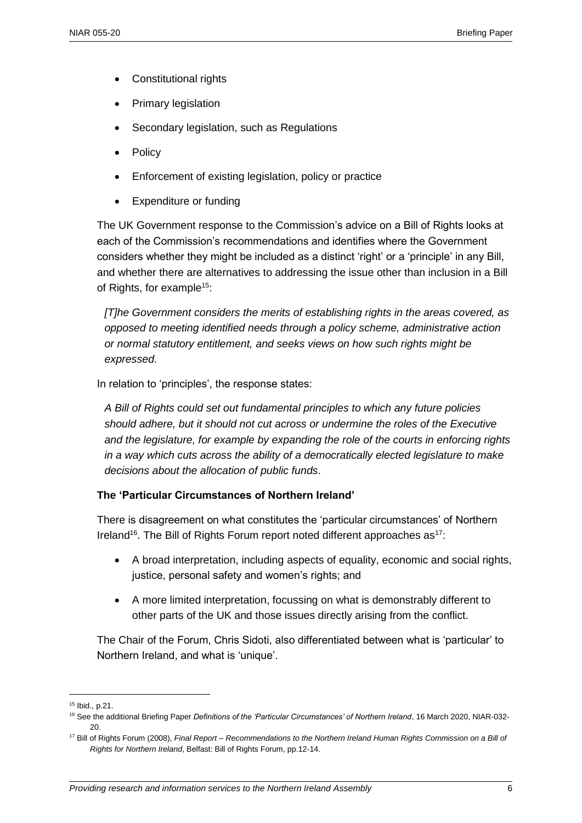- Constitutional rights
- Primary legislation
- Secondary legislation, such as Regulations
- Policy
- **Enforcement of existing legislation, policy or practice**
- Expenditure or funding

The UK Government response to the Commission's advice on a Bill of Rights looks at each of the Commission's recommendations and identifies where the Government considers whether they might be included as a distinct 'right' or a 'principle' in any Bill, and whether there are alternatives to addressing the issue other than inclusion in a Bill of Rights, for example<sup>15</sup>:

*[T]he Government considers the merits of establishing rights in the areas covered, as opposed to meeting identified needs through a policy scheme, administrative action or normal statutory entitlement, and seeks views on how such rights might be expressed*.

In relation to 'principles', the response states:

*A Bill of Rights could set out fundamental principles to which any future policies should adhere, but it should not cut across or undermine the roles of the Executive and the legislature, for example by expanding the role of the courts in enforcing rights in a way which cuts across the ability of a democratically elected legislature to make decisions about the allocation of public funds*.

#### **The 'Particular Circumstances of Northern Ireland'**

There is disagreement on what constitutes the 'particular circumstances' of Northern Ireland<sup>16</sup>. The Bill of Rights Forum report noted different approaches as<sup>17</sup>:

- A broad interpretation, including aspects of equality, economic and social rights, justice, personal safety and women's rights; and
- A more limited interpretation, focussing on what is demonstrably different to other parts of the UK and those issues directly arising from the conflict.

The Chair of the Forum, Chris Sidoti, also differentiated between what is 'particular' to Northern Ireland, and what is 'unique'.

<sup>15</sup> Ibid., p.21.

<sup>16</sup> See the additional Briefing Paper *Definitions of the 'Particular Circumstances' of Northern Ireland*, 16 March 2020, NIAR-032-  $20$ 

<sup>17</sup> Bill of Rights Forum (2008), *Final Report – Recommendations to the Northern Ireland Human Rights Commission on a Bill of Rights for Northern Ireland*, Belfast: Bill of Rights Forum, pp.12-14.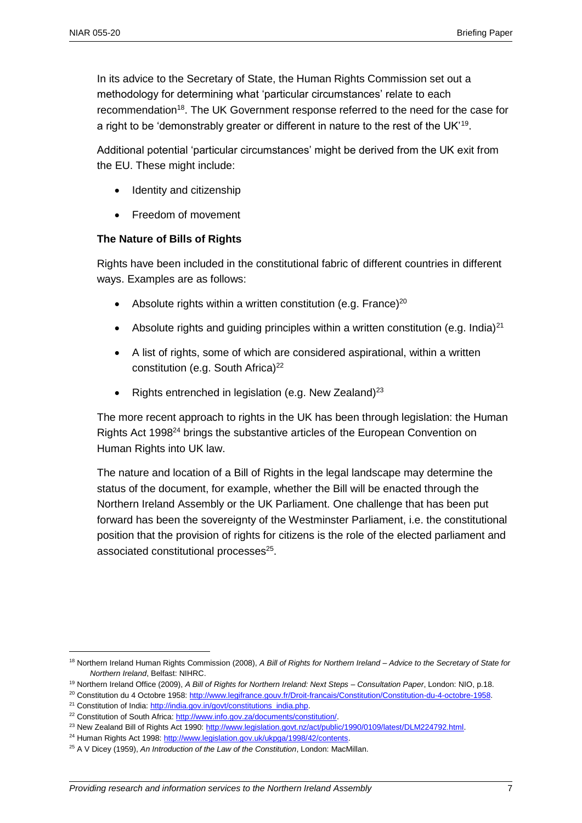In its advice to the Secretary of State, the Human Rights Commission set out a methodology for determining what 'particular circumstances' relate to each recommendation<sup>18</sup>. The UK Government response referred to the need for the case for a right to be 'demonstrably greater or different in nature to the rest of the UK'<sup>19</sup>.

Additional potential 'particular circumstances' might be derived from the UK exit from the EU. These might include:

- Identity and citizenship
- Freedom of movement

#### **The Nature of Bills of Rights**

Rights have been included in the constitutional fabric of different countries in different ways. Examples are as follows:

- Absolute rights within a written constitution (e.g. France) $20$
- Absolute rights and quiding principles within a written constitution (e.g. India) $^{21}$
- A list of rights, some of which are considered aspirational, within a written constitution (e.g. South Africa)<sup>22</sup>
- Rights entrenched in legislation (e.g. New Zealand)<sup>23</sup>

The more recent approach to rights in the UK has been through legislation: the Human Rights Act 1998<sup>24</sup> brings the substantive articles of the European Convention on Human Rights into UK law.

The nature and location of a Bill of Rights in the legal landscape may determine the status of the document, for example, whether the Bill will be enacted through the Northern Ireland Assembly or the UK Parliament. One challenge that has been put forward has been the sovereignty of the Westminster Parliament, i.e. the constitutional position that the provision of rights for citizens is the role of the elected parliament and associated constitutional processes<sup>25</sup>.

<sup>19</sup> Northern Ireland Office (2009), *A Bill of Rights for Northern Ireland: Next Steps – Consultation Paper*, London: NIO, p.18.

<sup>18</sup> Northern Ireland Human Rights Commission (2008), *A Bill of Rights for Northern Ireland – Advice to the Secretary of State for Northern Ireland*, Belfast: NIHRC.

<sup>20</sup> Constitution du 4 Octobre 1958: [http://www.legifrance.gouv.fr/Droit-francais/Constitution/Constitution-du-4-octobre-1958.](http://www.legifrance.gouv.fr/Droit-francais/Constitution/Constitution-du-4-octobre-1958)

<sup>&</sup>lt;sup>21</sup> Constitution of India: [http://india.gov.in/govt/constitutions\\_india.php.](http://india.gov.in/govt/constitutions_india.php)

<sup>22</sup> Constitution of South Africa: [http://www.info.gov.za/documents/constitution/.](http://www.info.gov.za/documents/constitution/) 

<sup>&</sup>lt;sup>23</sup> New Zealand Bill of Rights Act 1990[: http://www.legislation.govt.nz/act/public/1990/0109/latest/DLM224792.html.](http://www.legislation.govt.nz/act/public/1990/0109/latest/DLM224792.html)

<sup>&</sup>lt;sup>24</sup> Human Rights Act 1998[: http://www.legislation.gov.uk/ukpga/1998/42/contents.](http://www.legislation.gov.uk/ukpga/1998/42/contents)

<sup>25</sup> A V Dicey (1959), *An Introduction of the Law of the Constitution*, London: MacMillan.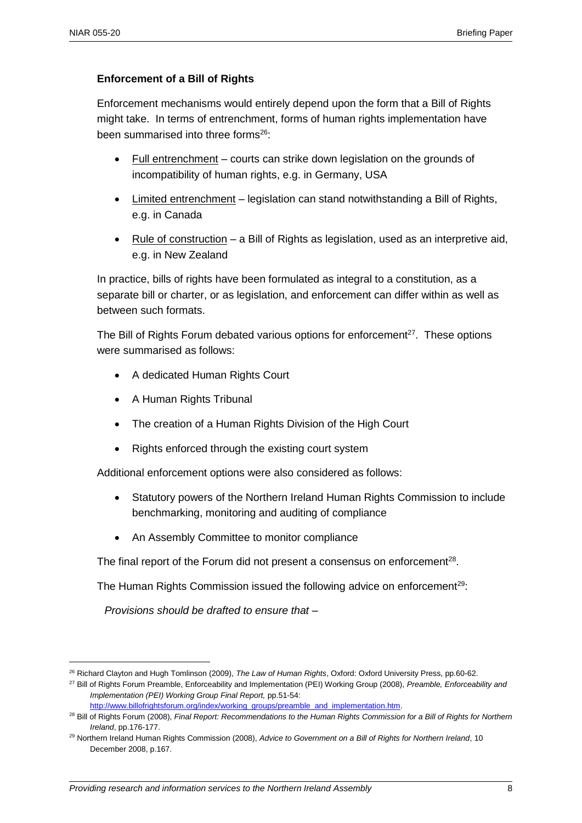$\overline{a}$ 

#### **Enforcement of a Bill of Rights**

Enforcement mechanisms would entirely depend upon the form that a Bill of Rights might take. In terms of entrenchment, forms of human rights implementation have been summarised into three forms<sup>26</sup>:

- Full entrenchment courts can strike down legislation on the grounds of incompatibility of human rights, e.g. in Germany, USA
- Limited entrenchment legislation can stand notwithstanding a Bill of Rights, e.g. in Canada
- Rule of construction a Bill of Rights as legislation, used as an interpretive aid, e.g. in New Zealand

In practice, bills of rights have been formulated as integral to a constitution, as a separate bill or charter, or as legislation, and enforcement can differ within as well as between such formats.

The Bill of Rights Forum debated various options for enforcement<sup>27</sup>. These options were summarised as follows:

- A dedicated Human Rights Court
- A Human Rights Tribunal
- The creation of a Human Rights Division of the High Court
- Rights enforced through the existing court system

Additional enforcement options were also considered as follows:

- Statutory powers of the Northern Ireland Human Rights Commission to include benchmarking, monitoring and auditing of compliance
- An Assembly Committee to monitor compliance

The final report of the Forum did not present a consensus on enforcement $^{28}$ .

The Human Rights Commission issued the following advice on enforcement<sup>29</sup>:

*Provisions should be drafted to ensure that –* 

<sup>26</sup> Richard Clayton and Hugh Tomlinson (2009), *The Law of Human Rights*, Oxford: Oxford University Press, pp.60-62.

<sup>27</sup> Bill of Rights Forum Preamble, Enforceability and Implementation (PEI) Working Group (2008), *Preamble, Enforceability and Implementation (PEI) Working Group Final Report,* pp.51-54: [http://www.billofrightsforum.org/index/working\\_groups/preamble\\_and\\_implementation.htm.](http://www.billofrightsforum.org/index/working_groups/preamble_and_implementation.htm)

<sup>28</sup> Bill of Rights Forum (2008), *Final Report: Recommendations to the Human Rights Commission for a Bill of Rights for Northern Ireland*, pp.176-177.

<sup>29</sup> Northern Ireland Human Rights Commission (2008), *Advice to Government on a Bill of Rights for Northern Ireland*, 10 December 2008, p.167.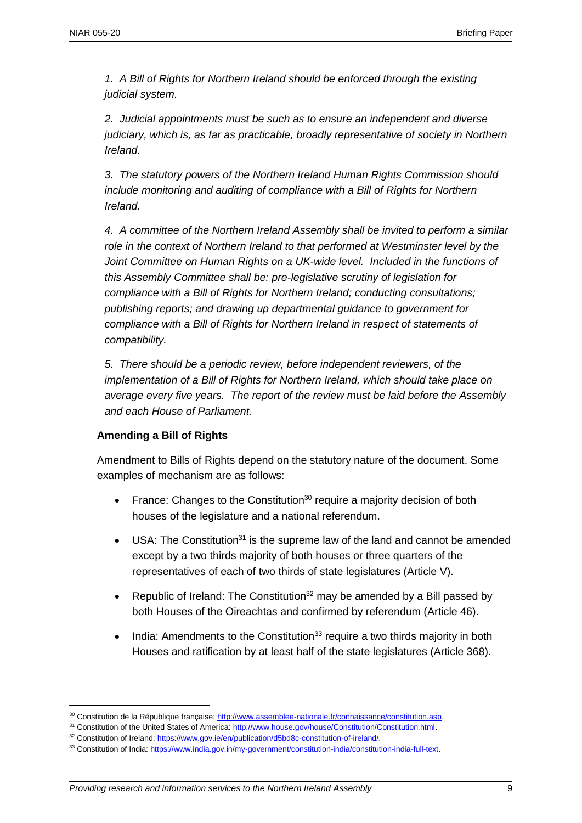*1. A Bill of Rights for Northern Ireland should be enforced through the existing judicial system.* 

*2. Judicial appointments must be such as to ensure an independent and diverse judiciary, which is, as far as practicable, broadly representative of society in Northern Ireland.* 

*3. The statutory powers of the Northern Ireland Human Rights Commission should include monitoring and auditing of compliance with a Bill of Rights for Northern Ireland.* 

*4. A committee of the Northern Ireland Assembly shall be invited to perform a similar role in the context of Northern Ireland to that performed at Westminster level by the*  Joint Committee on Human Rights on a UK-wide level. Included in the functions of *this Assembly Committee shall be: pre-legislative scrutiny of legislation for compliance with a Bill of Rights for Northern Ireland; conducting consultations; publishing reports; and drawing up departmental guidance to government for compliance with a Bill of Rights for Northern Ireland in respect of statements of compatibility.* 

*5. There should be a periodic review, before independent reviewers, of the implementation of a Bill of Rights for Northern Ireland, which should take place on average every five years. The report of the review must be laid before the Assembly and each House of Parliament.*

#### **Amending a Bill of Rights**

 $\overline{a}$ 

Amendment to Bills of Rights depend on the statutory nature of the document. Some examples of mechanism are as follows:

- France: Changes to the Constitution<sup>30</sup> require a majority decision of both houses of the legislature and a national referendum.
- $\bullet$  USA: The Constitution<sup>31</sup> is the supreme law of the land and cannot be amended except by a two thirds majority of both houses or three quarters of the representatives of each of two thirds of state legislatures (Article V).
- Republic of Ireland: The Constitution<sup>32</sup> may be amended by a Bill passed by both Houses of the Oireachtas and confirmed by referendum (Article 46).
- India: Amendments to the Constitution<sup>33</sup> require a two thirds maiority in both Houses and ratification by at least half of the state legislatures (Article 368).

<sup>30</sup> Constitution de la République française[: http://www.assemblee-nationale.fr/connaissance/constitution.asp.](http://www.assemblee-nationale.fr/connaissance/constitution.asp)

<sup>31</sup> Constitution of the United States of America[: http://www.house.gov/house/Constitution/Constitution.html.](http://www.house.gov/house/Constitution/Constitution.html)

<sup>&</sup>lt;sup>32</sup> Constitution of Ireland: https://www.gov.ie/en/publication/d5bd8c-constitution-of-ireland/.

<sup>33</sup> Constitution of India: https://www.india.gov.in/my-government/constitution-india/constitution-india-full-text.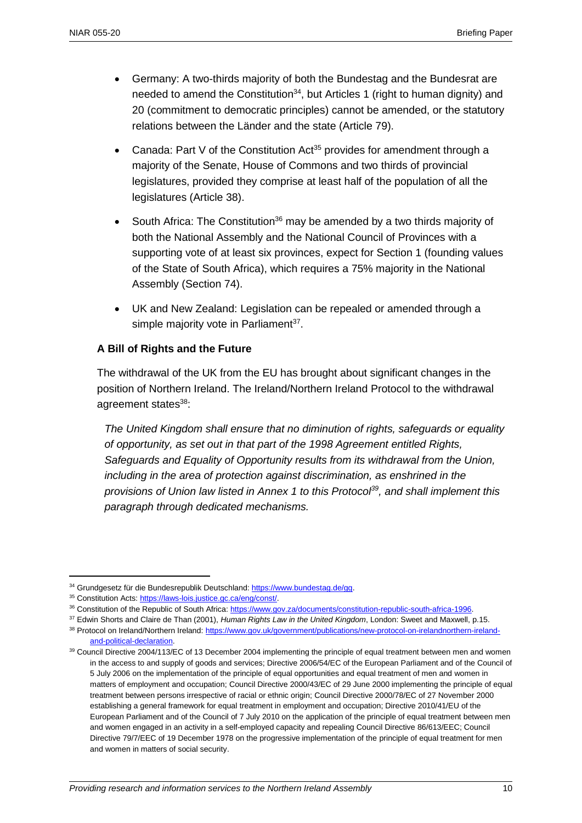- Germany: A two-thirds majority of both the Bundestag and the Bundesrat are needed to amend the Constitution<sup>34</sup>, but Articles 1 (right to human dignity) and 20 (commitment to democratic principles) cannot be amended, or the statutory relations between the Länder and the state (Article 79).
- Canada: Part V of the Constitution Act<sup>35</sup> provides for amendment through a majority of the Senate, House of Commons and two thirds of provincial legislatures, provided they comprise at least half of the population of all the legislatures (Article 38).
- South Africa: The Constitution<sup>36</sup> may be amended by a two thirds majority of both the National Assembly and the National Council of Provinces with a supporting vote of at least six provinces, expect for Section 1 (founding values of the State of South Africa), which requires a 75% majority in the National Assembly (Section 74).
- UK and New Zealand: Legislation can be repealed or amended through a simple majority vote in Parliament<sup>37</sup>.

#### **A Bill of Rights and the Future**

The withdrawal of the UK from the EU has brought about significant changes in the position of Northern Ireland. The Ireland/Northern Ireland Protocol to the withdrawal agreement states<sup>38</sup>:

*The United Kingdom shall ensure that no diminution of rights, safeguards or equality of opportunity, as set out in that part of the 1998 Agreement entitled Rights, Safeguards and Equality of Opportunity results from its withdrawal from the Union, including in the area of protection against discrimination, as enshrined in the provisions of Union law listed in Annex 1 to this Protocol<sup>39</sup>, and shall implement this paragraph through dedicated mechanisms.*

 $\overline{a}$ 

<sup>37</sup> Edwin Shorts and Claire de Than (2001), *Human Rights Law in the United Kingdom*, London: Sweet and Maxwell, p.15.

<sup>&</sup>lt;sup>34</sup> Grundgesetz für die Bundesrepublik Deutschland[: https://www.bundestag.de/gg.](https://www.bundestag.de/gg)

<sup>35</sup> Constitution Acts: [https://laws-lois.justice.gc.ca/eng/const/.](https://laws-lois.justice.gc.ca/eng/const/)

<sup>36</sup> Constitution of the Republic of South Africa: [https://www.gov.za/documents/constitution-republic-south-africa-1996.](https://www.gov.za/documents/constitution-republic-south-africa-1996) 

<sup>38</sup> Protocol on Ireland/Northern Ireland: [https://www.gov.uk/government/publications/new-protocol-on-irelandnorthern-ireland](https://www.gov.uk/government/publications/new-protocol-on-irelandnorthern-ireland-and-political-declaration)[and-political-declaration.](https://www.gov.uk/government/publications/new-protocol-on-irelandnorthern-ireland-and-political-declaration)

<sup>&</sup>lt;sup>39</sup> Council Directive 2004/113/EC of 13 December 2004 implementing the principle of equal treatment between men and women in the access to and supply of goods and services; Directive 2006/54/EC of the European Parliament and of the Council of 5 July 2006 on the implementation of the principle of equal opportunities and equal treatment of men and women in matters of employment and occupation; Council Directive 2000/43/EC of 29 June 2000 implementing the principle of equal treatment between persons irrespective of racial or ethnic origin; Council Directive 2000/78/EC of 27 November 2000 establishing a general framework for equal treatment in employment and occupation; Directive 2010/41/EU of the European Parliament and of the Council of 7 July 2010 on the application of the principle of equal treatment between men and women engaged in an activity in a self-employed capacity and repealing Council Directive 86/613/EEC; Council Directive 79/7/EEC of 19 December 1978 on the progressive implementation of the principle of equal treatment for men and women in matters of social security.